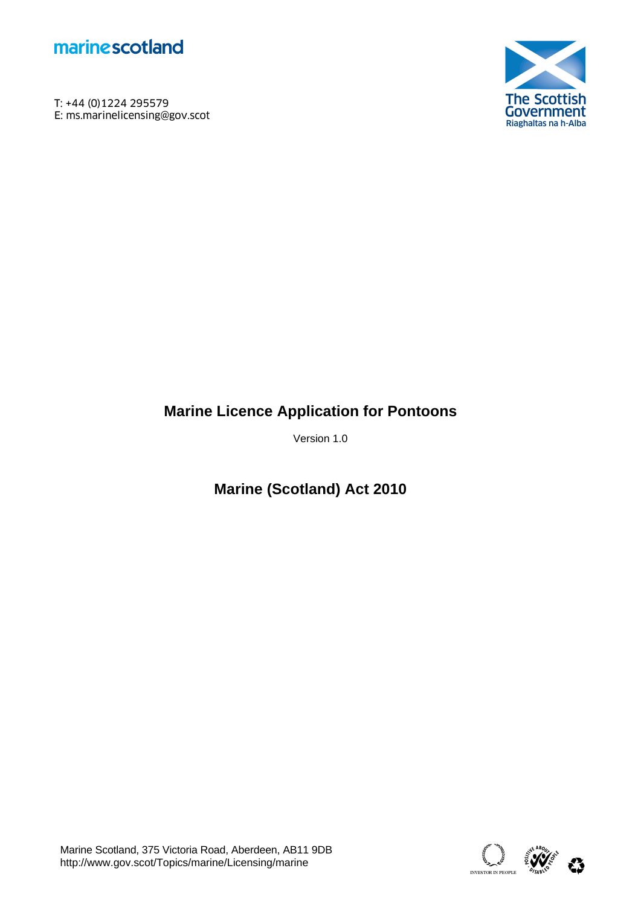

T: +44 (0)1224 295579<br>E: ms.marinelicensing@gov.scot **marine scotland**<br>T: +44 (0)1224 295579<br>E: ms.marinelicensing@gov.scot<br>F



# **Marine Licence Application for Pontoons**

Version 1.0

**Marine (Scotland) Act 2010** 

Marine Scotland, 375 Victoria Road, Aberdeen, AB11 9DB<br>http://www.gov.scot/Topics/marine/Licensing/marine absolution of the absolution of the state of the state abso

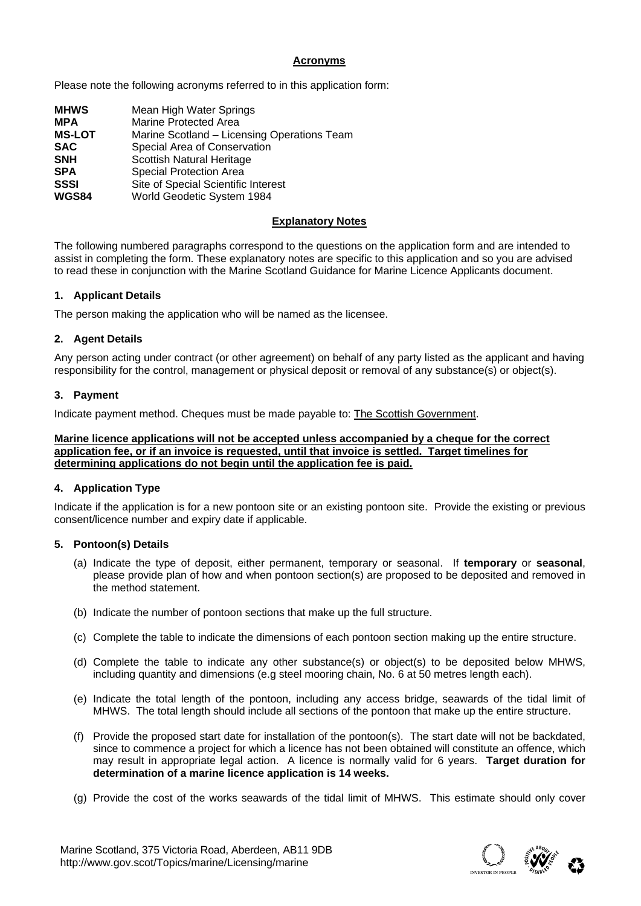#### **Acronyms**

Please note the following acronyms referred to in this application form:

| <b>MHWS</b>   | Mean High Water Springs                     |
|---------------|---------------------------------------------|
| <b>MPA</b>    | <b>Marine Protected Area</b>                |
| <b>MS-LOT</b> | Marine Scotland - Licensing Operations Team |
| <b>SAC</b>    | Special Area of Conservation                |
| <b>SNH</b>    | Scottish Natural Heritage                   |
| <b>SPA</b>    | <b>Special Protection Area</b>              |
| <b>SSSI</b>   | Site of Special Scientific Interest         |
| <b>WGS84</b>  | World Geodetic System 1984                  |

#### **Explanatory Notes**

The following numbered paragraphs correspond to the questions on the application form and are intended to assist in completing the form. These explanatory notes are specific to this application and so you are advised to read these in conjunction with the Marine Scotland Guidance for Marine Licence Applicants document.

#### **1. Applicant Details**

The person making the application who will be named as the licensee.

#### **2. Agent Details**

Any person acting under contract (or other agreement) on behalf of any party listed as the applicant and having responsibility for the control, management or physical deposit or removal of any substance(s) or object(s).

#### **3. Payment**

Indicate payment method. Cheques must be made payable to: The Scottish Government.

**Marine licence applications will not be accepted unless accompanied by a cheque for the correct application fee, or if an invoice is requested, until that invoice is settled. Target timelines for determining applications do not begin until the application fee is paid.** 

#### **4. Application Type**

Indicate if the application is for a new pontoon site or an existing pontoon site. Provide the existing or previous consent/licence number and expiry date if applicable.

#### **5. Pontoon(s) Details**

- (a) Indicate the type of deposit, either permanent, temporary or seasonal. If **temporary** or **seasonal**, please provide plan of how and when pontoon section(s) are proposed to be deposited and removed in the method statement.
- (b) Indicate the number of pontoon sections that make up the full structure.
- (c) Complete the table to indicate the dimensions of each pontoon section making up the entire structure.
- (d) Complete the table to indicate any other substance(s) or object(s) to be deposited below MHWS, including quantity and dimensions (e.g steel mooring chain, No. 6 at 50 metres length each).
- (e) Indicate the total length of the pontoon, including any access bridge, seawards of the tidal limit of MHWS. The total length should include all sections of the pontoon that make up the entire structure.
- (f) Provide the proposed start date for installation of the pontoon(s). The start date will not be backdated, since to commence a project for which a licence has not been obtained will constitute an offence, which may result in appropriate legal action. A licence is normally valid for 6 years. **Target duration for determination of a marine licence application is 14 weeks.**
- (g) Provide the cost of the works seawards of the tidal limit of MHWS. This estimate should only cover

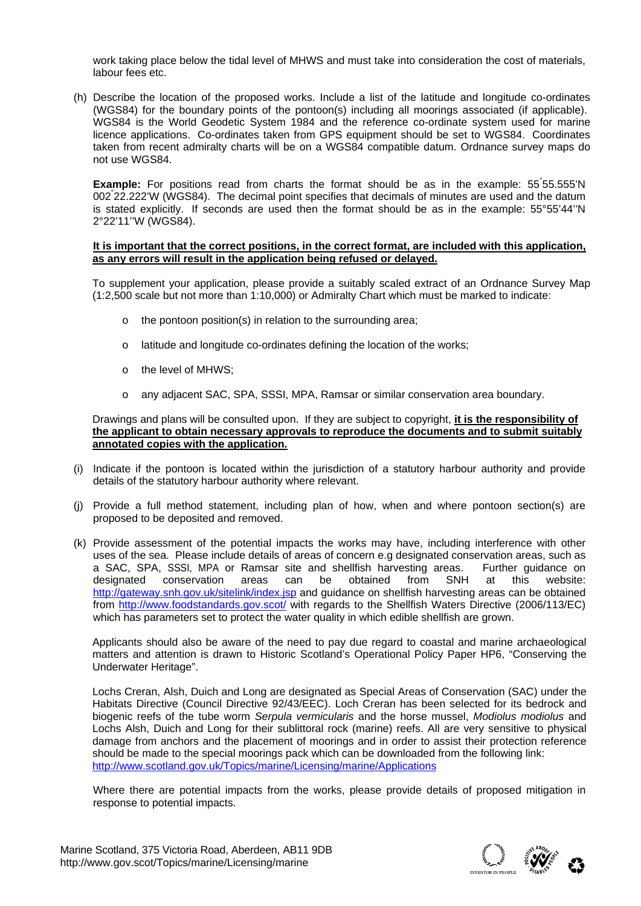work taking place below the tidal level of MHWS and must take into consideration the cost of materials, labour fees etc.

(h) Describe the location of the proposed works. Include a list of the latitude and longitude co-ordinates (WGS84) for the boundary points of the pontoon(s) including all moorings associated (if applicable). WGS84 is the World Geodetic System 1984 and the reference co-ordinate system used for marine licence applications. Co-ordinates taken from GPS equipment should be set to WGS84. Coordinates taken from recent admiralty charts will be on a WGS84 compatible datum. Ordnance survey maps do not use WGS84.

Example: For positions read from charts the format should be as in the example: 55°55.555'N 002° 22.222'W (WGS84). The decimal point specifies that decimals of minutes are used and the datum is stated explicitly. If seconds are used then the format should be as in the example: 55°55'44''N 2°22'11''W (WGS84).

#### **It is important that the correct positions, in the correct format, are included with this application, as any errors will result in the application being refused or delayed.**

To supplement your application, please provide a suitably scaled extract of an Ordnance Survey Map (1:2,500 scale but not more than 1:10,000) or Admiralty Chart which must be marked to indicate:

- o the pontoon position(s) in relation to the surrounding area;
- o latitude and longitude co-ordinates defining the location of the works;
- o the level of MHWS;
- o any adjacent SAC, SPA, SSSI, MPA, Ramsar or similar conservation area boundary.

 Drawings and plans will be consulted upon. If they are subject to copyright, **it is the responsibility of the applicant to obtain necessary approvals to reproduce the documents and to submit suitably annotated copies with the application.** 

- (i) Indicate if the pontoon is located within the jurisdiction of a statutory harbour authority and provide details of the statutory harbour authority where relevant.
- (j) Provide a full method statement, including plan of how, when and where pontoon section(s) are proposed to be deposited and removed.
- (k) Provide assessment of the potential impacts the works may have, including interference with other uses of the sea. Please include details of areas of concern e.g designated conservation areas, such as a SAC, SPA, SSSI, MPA or Ramsar site and shellfish harvesting areas. Further guidance on designated conservation areas can be obtained from SNH at this website: http://gateway.snh.gov.uk/sitelink/index.jsp and guidance on shellfish harvesting areas can be obtained from http://www.foodstandards.gov.scot/ with regards to the Shellfish Waters Directive (2006/113/EC) which has parameters set to protect the water quality in which edible shellfish are grown.

Applicants should also be aware of the need to pay due regard to coastal and marine archaeological matters and attention is drawn to Historic Scotland's Operational Policy Paper HP6, "Conserving the Underwater Heritage".

Lochs Creran, Alsh, Duich and Long are designated as Special Areas of Conservation (SAC) under the Habitats Directive (Council Directive 92/43/EEC). Loch Creran has been selected for its bedrock and biogenic reefs of the tube worm *Serpula vermicularis* and the horse mussel, *Modiolus modiolus* and Lochs Alsh, Duich and Long for their sublittoral rock (marine) reefs. All are very sensitive to physical damage from anchors and the placement of moorings and in order to assist their protection reference should be made to the special moorings pack which can be downloaded from the following link: http://www.scotland.gov.uk/Topics/marine/Licensing/marine/Applications

Where there are potential impacts from the works, please provide details of proposed mitigation in response to potential impacts.

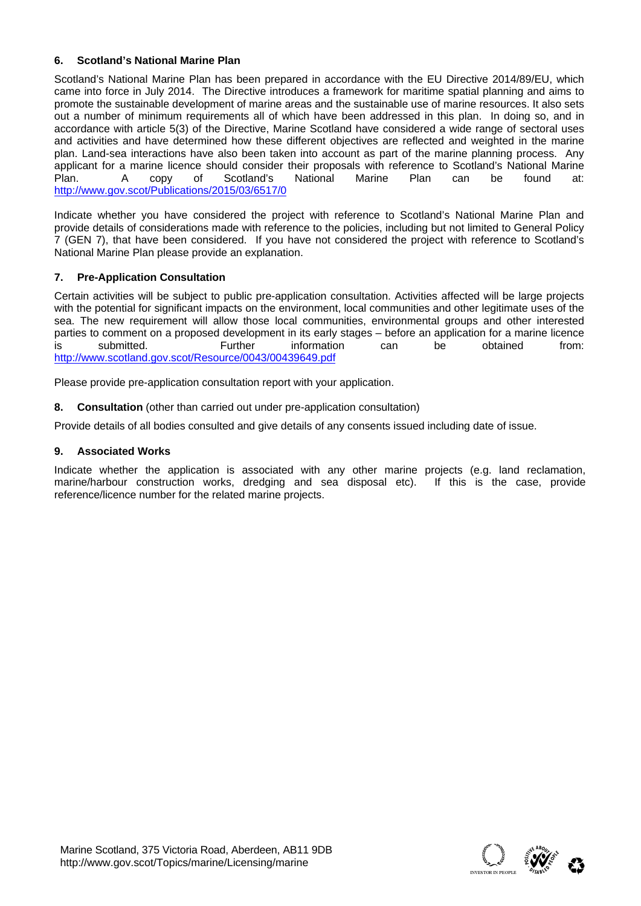#### **6. Scotland's National Marine Plan**

Scotland's National Marine Plan has been prepared in accordance with the EU Directive 2014/89/EU, which came into force in July 2014. The Directive introduces a framework for maritime spatial planning and aims to promote the sustainable development of marine areas and the sustainable use of marine resources. It also sets out a number of minimum requirements all of which have been addressed in this plan. In doing so, and in accordance with article 5(3) of the Directive, Marine Scotland have considered a wide range of sectoral uses and activities and have determined how these different objectives are reflected and weighted in the marine plan. Land-sea interactions have also been taken into account as part of the marine planning process. Any applicant for a marine licence should consider their proposals with reference to Scotland's National Marine Plan. A copy of Scotland's National Marine Plan can be found at: http://www.gov.scot/Publications/2015/03/6517/0

Indicate whether you have considered the project with reference to Scotland's National Marine Plan and provide details of considerations made with reference to the policies, including but not limited to General Policy 7 (GEN 7), that have been considered. If you have not considered the project with reference to Scotland's National Marine Plan please provide an explanation.

#### **7. Pre-Application Consultation**

Certain activities will be subject to public pre-application consultation. Activities affected will be large projects with the potential for significant impacts on the environment, local communities and other legitimate uses of the sea. The new requirement will allow those local communities, environmental groups and other interested parties to comment on a proposed development in its early stages – before an application for a marine licence is submitted. Further information can be obtained from: http://www.scotland.gov.scot/Resource/0043/00439649.pdf

Please provide pre-application consultation report with your application.

**8. Consultation** (other than carried out under pre-application consultation)

Provide details of all bodies consulted and give details of any consents issued including date of issue.

#### **9. Associated Works**

Indicate whether the application is associated with any other marine projects (e.g. land reclamation, marine/harbour construction works, dredging and sea disposal etc). If this is the case, provide reference/licence number for the related marine projects.

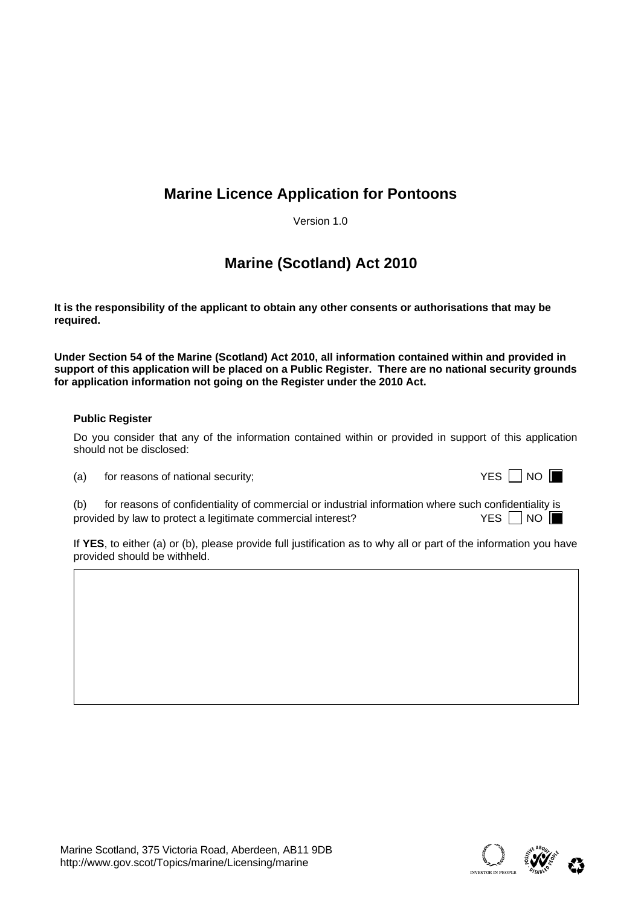## **Marine Licence Application for Pontoons**

Version 1.0

## **Marine (Scotland) Act 2010**

**It is the responsibility of the applicant to obtain any other consents or authorisations that may be required.** 

**Under Section 54 of the Marine (Scotland) Act 2010, all information contained within and provided in**  support of this application will be placed on a Public Register. There are no national security grounds **for application information not going on the Register under the 2010 Act.** 

#### **Public Register**

Do you consider that any of the information contained within or provided in support of this application should not be disclosed:

 $(a)$  for reasons of national security;

|  | т |  |
|--|---|--|
|--|---|--|

(b) for reasons of confidentiality of commercial or industrial information where such confidentiality is provided by law to protect a legitimate commercial interest?  $YES \Box NO$ 

If **YES**, to either (a) or (b), please provide full justification as to why all or part of the information you have provided should be withheld.

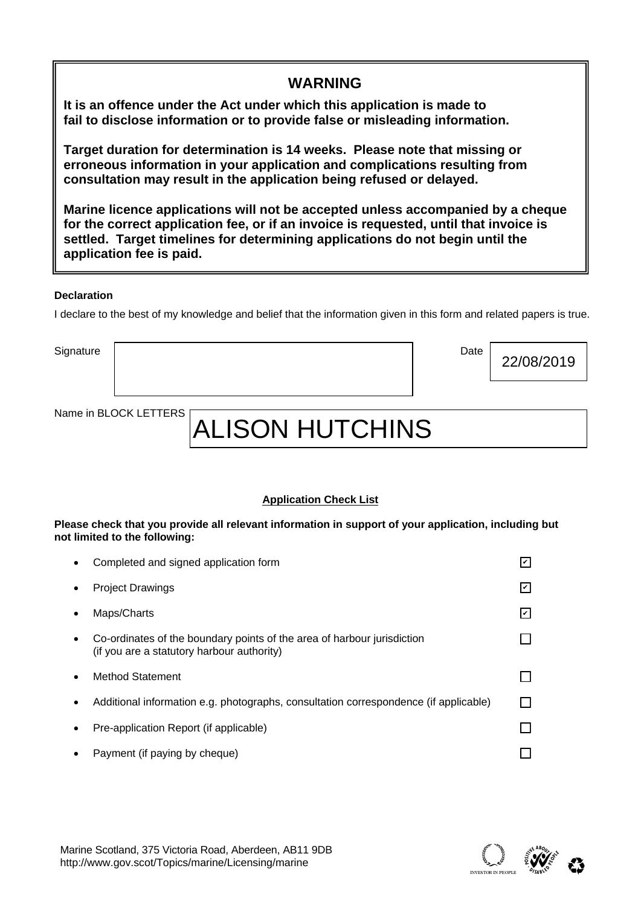| <b>WARNING</b>                                                                                                                                                                                                                                                                        |
|---------------------------------------------------------------------------------------------------------------------------------------------------------------------------------------------------------------------------------------------------------------------------------------|
| It is an offence under the Act under which this application is made to<br>fail to disclose information or to provide false or misleading information.                                                                                                                                 |
| Target duration for determination is 14 weeks. Please note that missing or<br>erroneous information in your application and complications resulting from<br>consultation may result in the application being refused or delayed.                                                      |
| Marine licence applications will not be accepted unless accompanied by a cheque<br>for the correct application fee, or if an invoice is requested, until that invoice is<br>settled. Target timelines for determining applications do not begin until the<br>application fee is paid. |

#### **Declaration**

I declare to the best of my knowledge and belief that the information given in this form and related papers is true.

Signature | Date

Name in BLOCK LETTERS

# ALISON HUTCHINS

#### **Application Check List**

**Please check that you provide all relevant information in support of your application, including but not limited to the following:** 

|           | Completed and signed application form                                                                                 | V   |
|-----------|-----------------------------------------------------------------------------------------------------------------------|-----|
| $\bullet$ | <b>Project Drawings</b>                                                                                               | l۷l |
|           | Maps/Charts                                                                                                           | lا  |
| $\bullet$ | Co-ordinates of the boundary points of the area of harbour jurisdiction<br>(if you are a statutory harbour authority) |     |
| $\bullet$ | Method Statement                                                                                                      |     |
| $\bullet$ | Additional information e.g. photographs, consultation correspondence (if applicable)                                  |     |
| $\bullet$ | Pre-application Report (if applicable)                                                                                |     |
| $\bullet$ | Payment (if paying by cheque)                                                                                         | Ιv  |
|           |                                                                                                                       |     |

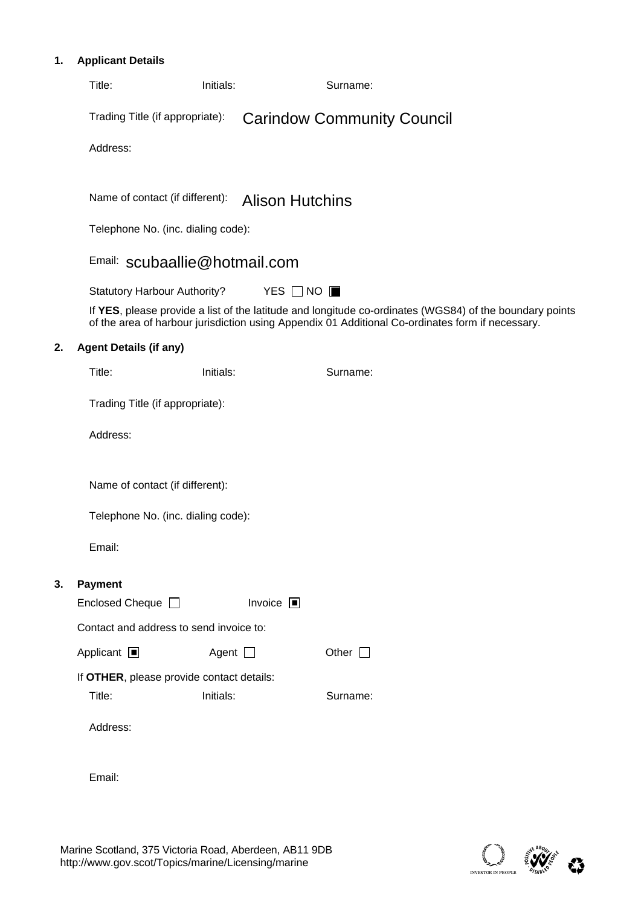### **1. Applicant Details**

|    | Title:                              | Initials:                                              | Surname:                                                                                                                                                                                                    |  |
|----|-------------------------------------|--------------------------------------------------------|-------------------------------------------------------------------------------------------------------------------------------------------------------------------------------------------------------------|--|
|    | Trading Title (if appropriate):     |                                                        | <b>Carindow Community Council</b>                                                                                                                                                                           |  |
|    |                                     | Address: 12 Kilmorich, Cairndow PA26 8BA               |                                                                                                                                                                                                             |  |
|    |                                     |                                                        |                                                                                                                                                                                                             |  |
|    | Name of contact (if different):     |                                                        | <b>Alison Hutchins</b>                                                                                                                                                                                      |  |
|    |                                     | Telephone No. (inc. dialing code): 01499 600297        |                                                                                                                                                                                                             |  |
|    |                                     | Email: scubaallie@hotmail.com                          |                                                                                                                                                                                                             |  |
|    | <b>Statutory Harbour Authority?</b> |                                                        | YES $\Box$ NO $\blacksquare$                                                                                                                                                                                |  |
|    |                                     |                                                        | If YES, please provide a list of the latitude and longitude co-ordinates (WGS84) of the boundary points<br>of the area of harbour jurisdiction using Appendix 01 Additional Co-ordinates form if necessary. |  |
| 2. | <b>Agent Details (if any)</b>       |                                                        |                                                                                                                                                                                                             |  |
|    | Title:                              | Initials:                                              | Surname:                                                                                                                                                                                                    |  |
|    | Trading Title (if appropriate):     |                                                        |                                                                                                                                                                                                             |  |
|    | Address:                            |                                                        |                                                                                                                                                                                                             |  |
|    |                                     |                                                        |                                                                                                                                                                                                             |  |
|    | Name of contact (if different):     |                                                        |                                                                                                                                                                                                             |  |
|    |                                     | Telephone No. (inc. dialing code):                     |                                                                                                                                                                                                             |  |
|    | Email:                              |                                                        |                                                                                                                                                                                                             |  |
| 3. | Payment                             |                                                        |                                                                                                                                                                                                             |  |
|    | Enclosed Cheque ■                   | Invoice $\square$                                      |                                                                                                                                                                                                             |  |
|    |                                     | Contact and address to send invoice to:                |                                                                                                                                                                                                             |  |
|    | Applicant $\blacksquare$            | Agent $\Box$                                           | Other $\square$                                                                                                                                                                                             |  |
|    | Title:                              | If OTHER, please provide contact details:<br>Initials: |                                                                                                                                                                                                             |  |
|    |                                     |                                                        | Surname:                                                                                                                                                                                                    |  |
|    | Address:                            |                                                        |                                                                                                                                                                                                             |  |
|    | Email:                              |                                                        |                                                                                                                                                                                                             |  |
|    |                                     |                                                        |                                                                                                                                                                                                             |  |

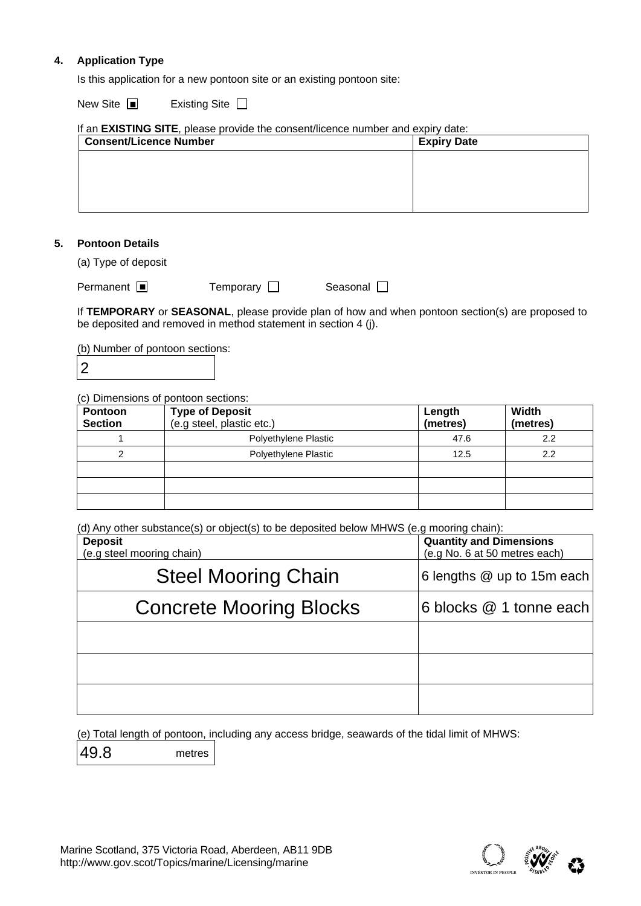#### **4. Application Type**

Is this application for a new pontoon site or an existing pontoon site:

New Site ■ Existing Site

| <b>Consent/Licence Number</b> | <b>Expiry Date</b> |  |  |  |  |
|-------------------------------|--------------------|--|--|--|--|
|                               |                    |  |  |  |  |
|                               |                    |  |  |  |  |
|                               |                    |  |  |  |  |
|                               |                    |  |  |  |  |

#### **5. Pontoon Details**

(a) Type of deposit

| Permanent $\blacksquare$ | Temporary $\square$ | Seasonal $\square$ |
|--------------------------|---------------------|--------------------|
|                          |                     |                    |

If **TEMPORARY** or **SEASONAL**, please provide plan of how and when pontoon section(s) are proposed to be deposited and removed in method statement in section 4 (j).

(b) Number of pontoon sections:

2

(c) Dimensions of pontoon sections:

| Pontoon        | <b>Type of Deposit</b>    | Length   | Width    |
|----------------|---------------------------|----------|----------|
| <b>Section</b> | (e.g steel, plastic etc.) | (metres) | (metres) |
|                | Polyethylene Plastic      | 47.6     | 2.2      |
| 2              | Polyethylene Plastic      | 12.5     | 2.2      |
|                |                           |          |          |
|                |                           |          |          |
|                |                           |          |          |

(d) Any other substance(s) or object(s) to be deposited below MHWS (e.g mooring chain):

| <b>Deposit</b><br>(e.g steel mooring chain) | <b>Quantity and Dimensions</b><br>(e.g No. 6 at 50 metres each) |
|---------------------------------------------|-----------------------------------------------------------------|
| <b>Steel Mooring Chain</b>                  | 6 lengths @ up to 15m each                                      |
| <b>Concrete Mooring Blocks</b>              | 6 blocks @ 1 tonne each                                         |
|                                             |                                                                 |
|                                             |                                                                 |
|                                             |                                                                 |

(e) Total length of pontoon, including any access bridge, seawards of the tidal limit of MHWS:

49.8

metres

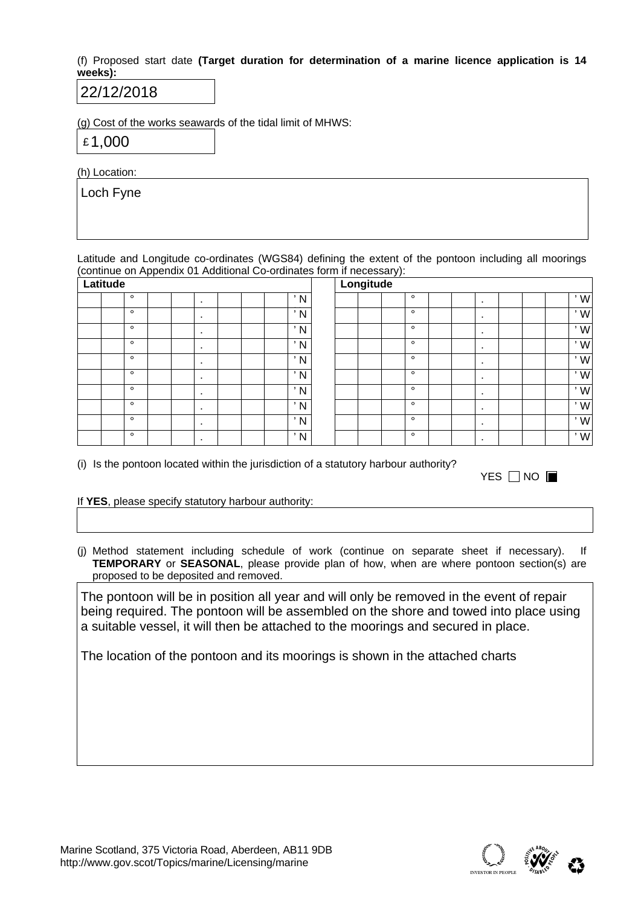(f) Proposed start date **(Target duration for determination of a marine licence application is 14 weeks):** 

## 30/12/2018

(g) Cost of the works seawards of the tidal limit of MHWS:

£ 60,000

(h) Location:

Loch Fyne

Latitude and Longitude co-ordinates (WGS84) defining the extent of the pontoon including all moorings (continue on Appendix 01 Additional Co-ordinates form if necessary):

| Latitude |         |  |              |   |  |     | Longitude |         |   |                |   |  |
|----------|---------|--|--------------|---|--|-----|-----------|---------|---|----------------|---|--|
|          | $\circ$ |  | $\cdot$      |   |  | ' N |           | $\circ$ |   | $\blacksquare$ |   |  |
|          | $\circ$ |  | $\mathbf{r}$ | 5 |  | ' N |           | $\circ$ |   | $\blacksquare$ |   |  |
|          | $\circ$ |  | $\cdot$      |   |  | ' N |           | $\circ$ |   | $\bullet$      |   |  |
|          | $\circ$ |  | $\cdot$      |   |  | ' N |           | $\circ$ |   | $\blacksquare$ |   |  |
|          | $\circ$ |  |              |   |  | ' N |           | $\circ$ |   | $\bullet$      |   |  |
|          | $\circ$ |  | $\cdot$      |   |  | ' N |           | $\circ$ |   | $\bullet$      |   |  |
|          | $\circ$ |  | $\cdot$      |   |  | ' N |           | $\circ$ | 5 | $\bullet$      | 0 |  |
|          | $\circ$ |  | $\cdot$      |   |  | ' N |           | $\circ$ |   | $\bullet$      |   |  |
|          | $\circ$ |  | $\cdot$      |   |  | ' N |           | $\circ$ |   | $\bullet$      |   |  |
|          | $\circ$ |  | $\cdot$      |   |  | ' N |           | $\circ$ |   | $\bullet$      |   |  |

(i) Is the pontoon located within the jurisdiction of a statutory harbour authority?

| YES □ NO ■ |
|------------|

#### If **YES**, please specify statutory harbour authority:

(j) Method statement including schedule of work (continue on separate sheet if necessary). If **TEMPORARY** or **SEASONAL**, please provide plan of how, when are where pontoon section(s) are proposed to be deposited and removed.

The pontoon will be in position all year and will only be removed in the event of repair being required. The pontoon will be assembled on the shore and towed into place using a suitable vessel, it will then be attached to the moorings and secured in place. The pontoon will be manufactured by Gaelforce Fusion at Barcaldine and constructed on site. Mooring chains running to anchors will be attached to the sides and seaward end of the pontoon. Inspection of seabed at each anchor location and anchor placement and embedment will be carried out by divers.

The location of the pontoon and its moorings is shown in the attached charts

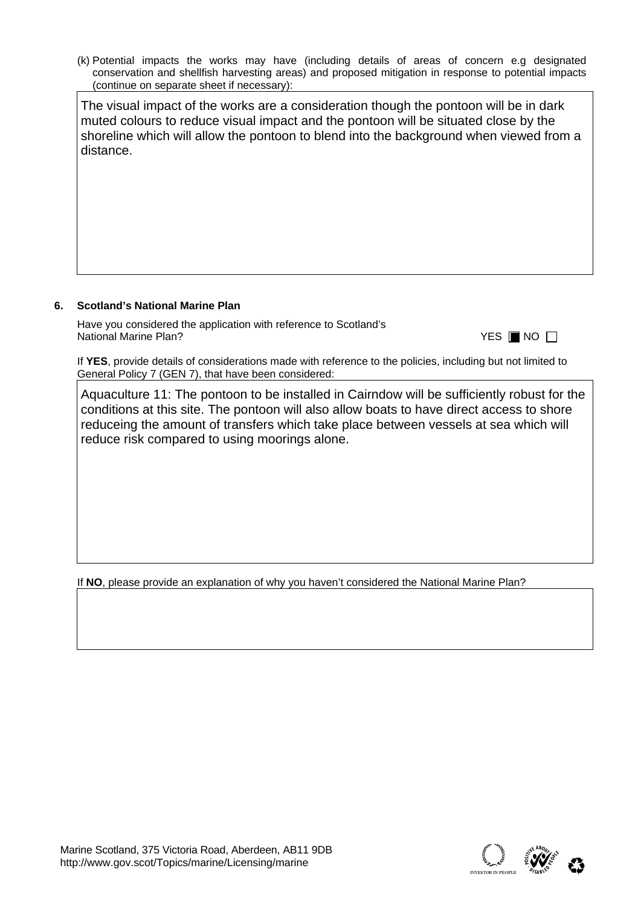(k) Potential impacts the works may have (including details of areas of concern e.g designated conservation and shellfish harvesting areas) and proposed mitigation in response to potential impacts (continue on separate sheet if necessary):

The visual impact of the works are a consideration though the pontoon will be in dark muted colours to reduce visual impact and the pontoon will be situated close by the shoreline which will allow the pontoon to blend into the background when viewed from a distance.

#### **6. Scotland's National Marine Plan**

Have you considered the application with reference to Scotland's **National Marine Plan?** 

|  | II.<br>N |  |
|--|----------|--|
|--|----------|--|

If **YES**, provide details of considerations made with reference to the policies, including but not limited to General Policy 7 (GEN 7), that have been considered:

GEN 1 - This is positive to the plan as it will improve access to and use of the marine environment in the area of tourism.

GEN 2 - There is positive economic benefit with this development to local businesses in the area as it will increase the access to the village and bring more tourism to the area.

GEN 3 - This development would bring a lot of social benefit to the local area. It will improve connectivity to other villages in the area with similar facilities and increase the range of sport and recreation potential for the area.

GEN 4 - It is not considered to be in conflict with other users/developments.

GEN 5 - Neutral - The pontoon will be built with material that will last greater than 50 years. The structure can be moved or relocated or recycled in the future if climate change alters the surrounding environment.

GEN 6 - no impact on any local historic heritage

GEN 7 - Minimal visual impact considered - dark muted colours to reduce visual impact and the pontoon will be situated close by the shoreline which will allow the pontoon to blend into the background when viewed from a distance. GEN 8 - no impact

GEN 9 - Site is within an MPA for restrictions on fishing methods - this development will not impact on the features of the MPA

If **NO**, please provide an explanation of why you haven't considered the National Marine Plan?